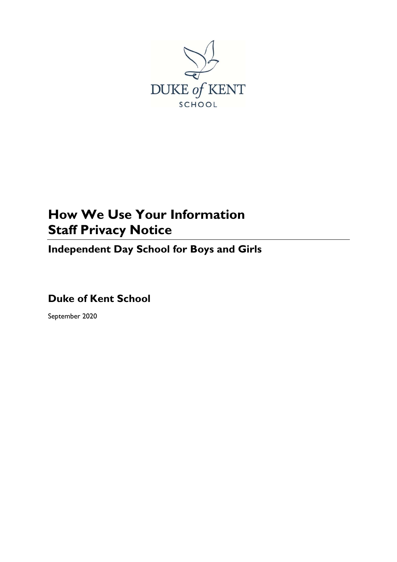

# **How We Use Your Information Staff Privacy Notice**

**Independent Day School for Boys and Girls**

# **Duke of Kent School**

September 2020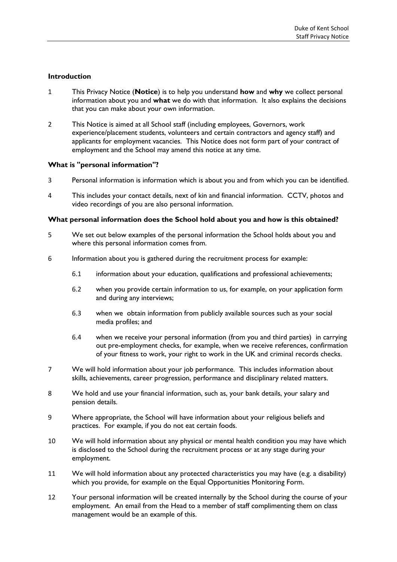# **Introduction**

- 1 This Privacy Notice (**Notice**) is to help you understand **how** and **why** we collect personal information about you and **what** we do with that information. It also explains the decisions that you can make about your own information.
- 2 This Notice is aimed at all School staff (including employees, Governors, work experience/placement students, volunteers and certain contractors and agency staff) and applicants for employment vacancies. This Notice does not form part of your contract of employment and the School may amend this notice at any time.

#### **What is "personal information"?**

- 3 Personal information is information which is about you and from which you can be identified.
- 4 This includes your contact details, next of kin and financial information. CCTV, photos and video recordings of you are also personal information.

# **What personal information does the School hold about you and how is this obtained?**

- 5 We set out below examples of the personal information the School holds about you and where this personal information comes from.
- 6 Information about you is gathered during the recruitment process for example:
	- 6.1 information about your education, qualifications and professional achievements;
	- 6.2 when you provide certain information to us, for example, on your application form and during any interviews;
	- 6.3 when we obtain information from publicly available sources such as your social media profiles; and
	- 6.4 when we receive your personal information (from you and third parties) in carrying out pre-employment checks, for example, when we receive references, confirmation of your fitness to work, your right to work in the UK and criminal records checks.
- 7 We will hold information about your job performance. This includes information about skills, achievements, career progression, performance and disciplinary related matters.
- 8 We hold and use your financial information, such as, your bank details, your salary and pension details.
- 9 Where appropriate, the School will have information about your religious beliefs and practices. For example, if you do not eat certain foods.
- 10 We will hold information about any physical or mental health condition you may have which is disclosed to the School during the recruitment process or at any stage during your employment.
- 11 We will hold information about any protected characteristics you may have (e.g. a disability) which you provide, for example on the Equal Opportunities Monitoring Form.
- 12 Your personal information will be created internally by the School during the course of your employment. An email from the Head to a member of staff complimenting them on class management would be an example of this.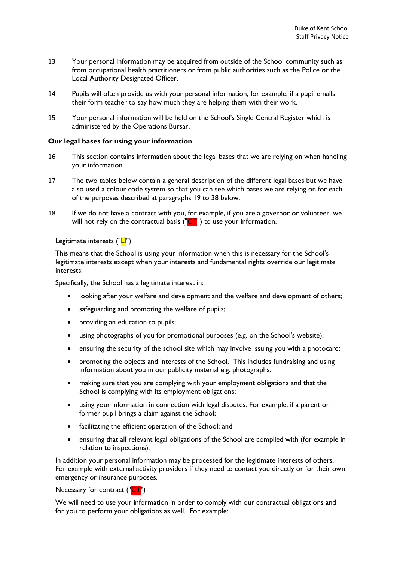- 13 Your personal information may be acquired from outside of the School community such as from occupational health practitioners or from public authorities such as the Police or the Local Authority Designated Officer.
- 14 Pupils will often provide us with your personal information, for example, if a pupil emails their form teacher to say how much they are helping them with their work.
- 15 Your personal information will be held on the School's Single Central Register which is administered by the Operations Bursar.

# **Our legal bases for using your information**

- 16 This section contains information about the legal bases that we are relying on when handling your information.
- 17 The two tables below contain a general description of the different legal bases but we have also used a colour code system so that you can see which bases we are relying on for each of the purposes described at paragraphs [19](#page-4-0) to 38 below.
- 18 If we do not have a contract with you, for example, if you are a governor or volunteer, we will not rely on the contractual basis ( $\overline{CT}$ ") to use your information.

# Legitimate interests ("LI")

This means that the School is using your information when this is necessary for the School's legitimate interests except when your interests and fundamental rights override our legitimate interests.

Specifically, the School has a legitimate interest in:

- looking after your welfare and development and the welfare and development of others;
- safeguarding and promoting the welfare of pupils;
- providing an education to pupils;
- using photographs of you for promotional purposes (e.g. on the School's website);
- ensuring the security of the school site which may involve issuing you with a photocard;
- promoting the objects and interests of the School. This includes fundraising and using information about you in our publicity material e.g. photographs.
- making sure that you are complying with your employment obligations and that the School is complying with its employment obligations;
- using your information in connection with legal disputes. For example, if a parent or former pupil brings a claim against the School;
- facilitating the efficient operation of the School; and
- ensuring that all relevant legal obligations of the School are complied with (for example in relation to inspections).

In addition your personal information may be processed for the legitimate interests of others. For example with external activity providers if they need to contact you directly or for their own emergency or insurance purposes.

# Necessary for contract ("CT")

We will need to use your information in order to comply with our contractual obligations and for you to perform your obligations as well. For example: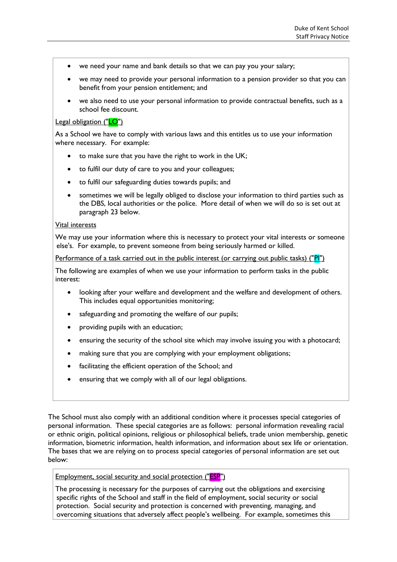- we need your name and bank details so that we can pay you your salary;
- we may need to provide your personal information to a pension provider so that you can benefit from your pension entitlement; and
- we also need to use your personal information to provide contractual benefits, such as a school fee discount.

#### Legal obligation ("LO")

As a School we have to comply with various laws and this entitles us to use your information where necessary. For example:

- to make sure that you have the right to work in the UK;
- to fulfil our duty of care to you and your colleagues;
- to fulfil our safeguarding duties towards pupils; and
- sometimes we will be legally obliged to disclose your information to third parties such as the DBS, local authorities or the police. More detail of when we will do so is set out at paragraph [23](#page-6-0) below.

#### Vital interests

We may use your information where this is necessary to protect your vital interests or someone else's. For example, to prevent someone from being seriously harmed or killed.

Performance of a task carried out in the public interest (or carrying out public tasks) ("PI")

The following are examples of when we use your information to perform tasks in the public interest:

- looking after your welfare and development and the welfare and development of others. This includes equal opportunities monitoring;
- safeguarding and promoting the welfare of our pupils;
- providing pupils with an education;
- ensuring the security of the school site which may involve issuing you with a photocard;
- making sure that you are complying with your employment obligations;
- facilitating the efficient operation of the School; and
- ensuring that we comply with all of our legal obligations.

The School must also comply with an additional condition where it processes special categories of personal information. These special categories are as follows: personal information revealing racial or ethnic origin, political opinions, religious or philosophical beliefs, trade union membership, genetic information, biometric information, health information, and information about sex life or orientation. The bases that we are relying on to process special categories of personal information are set out below:

Employment, social security and social protection ("ESP")

The processing is necessary for the purposes of carrying out the obligations and exercising specific rights of the School and staff in the field of employment, social security or social protection. Social security and protection is concerned with preventing, managing, and overcoming situations that adversely affect people's wellbeing. For example, sometimes this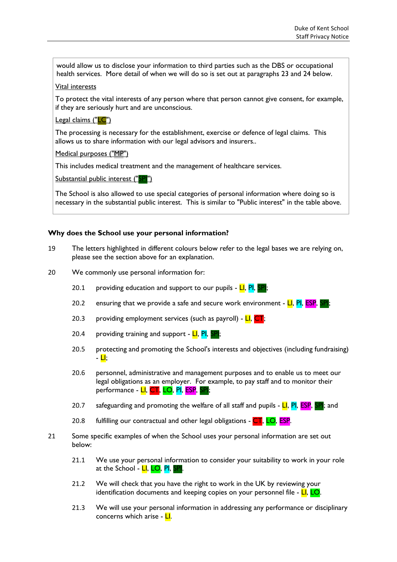would allow us to disclose your information to third parties such as the DBS or occupational health services. More detail of when we will do so is set out at paragraphs [23](#page-6-0) and [24](#page-6-1) below.

#### Vital interests

To protect the vital interests of any person where that person cannot give consent, for example, if they are seriously hurt and are unconscious.

#### Legal claims ("LC")

The processing is necessary for the establishment, exercise or defence of legal claims. This allows us to share information with our legal advisors and insurers..

Medical purposes ("MP")

This includes medical treatment and the management of healthcare services.

Substantial public interest ("SPI")

The School is also allowed to use special categories of personal information where doing so is necessary in the substantial public interest. This is similar to "Public interest" in the table above.

# **Why does the School use your personal information?**

- <span id="page-4-0"></span>19 The letters highlighted in different colours below refer to the legal bases we are relying on, please see the section above for an explanation.
- 20 We commonly use personal information for:
	- 20.1 providing education and support to our pupils LI, PI, SPI;
	- 20.2 ensuring that we provide a safe and secure work environment  $LI$ , PI, ESP,
	- 20.3 providing employment services (such as payroll)  $LI$ ,  $CT$ ;
	- 20.4 providing training and support  $LI$ ,  $PI$ ,  $SPI$ ;
	- 20.5 protecting and promoting the School's interests and objectives (including fundraising)  $-$  LI;
	- 20.6 personnel, administrative and management purposes and to enable us to meet our legal obligations as an employer. For example, to pay staff and to monitor their performance - LI, CT, LO, PI, ESP, SPI;
	- 20.7 safeguarding and promoting the welfare of all staff and pupils  $\overline{\mathsf{LI}}$ ,  $\overline{\mathsf{PI}}$ ,  $\overline{\mathsf{EP}}$ ,  $\overline{\mathsf{SP}}$ ; and
	- 20.8 fulfilling our contractual and other legal obligations CT, LO, ESP.
- 21 Some specific examples of when the School uses your personal information are set out below:
	- 21.1 We use your personal information to consider your suitability to work in your role at the School - LI, LO, PI, SPI.
	- 21.2 We will check that you have the right to work in the UK by reviewing your identification documents and keeping copies on your personnel file - LI, LO.
	- 21.3 We will use your personal information in addressing any performance or disciplinary concerns which arise - LI.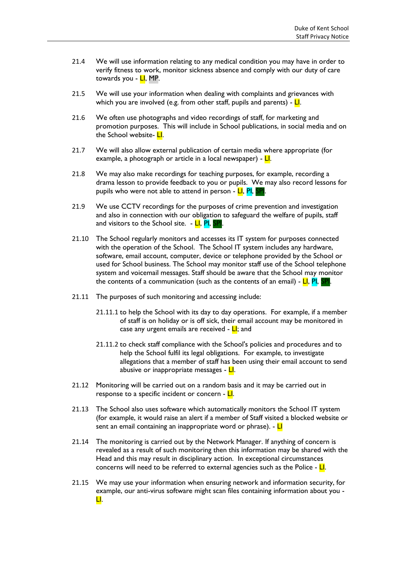- 21.4 We will use information relating to any medical condition you may have in order to verify fitness to work, monitor sickness absence and comply with our duty of care towards you - <mark>LI</mark>, MP.
- 21.5 We will use your information when dealing with complaints and grievances with which you are involved (e.g. from other staff, pupils and parents) -  $\frac{L}{L}$ .
- 21.6 We often use photographs and video recordings of staff, for marketing and promotion purposes. This will include in School publications, in social media and on the School website- LI.
- 21.7 We will also allow external publication of certain media where appropriate (for example, a photograph or article in a local newspaper) - **LI**.
- 21.8 We may also make recordings for teaching purposes, for example, recording a drama lesson to provide feedback to you or pupils. We may also record lessons for pupils who were not able to attend in person - LI, PI, SPI.
- 21.9 We use CCTV recordings for the purposes of crime prevention and investigation and also in connection with our obligation to safeguard the welfare of pupils, staff and visitors to the School site. - LI, PI, SPI
- 21.10 The School regularly monitors and accesses its IT system for purposes connected with the operation of the School. The School IT system includes any hardware, software, email account, computer, device or telephone provided by the School or used for School business. The School may monitor staff use of the School telephone system and voicemail messages. Staff should be aware that the School may monitor the contents of a communication (such as the contents of an email) -  $LI$ ,  $PI$ ,  $SPI$ .
- 21.11 The purposes of such monitoring and accessing include:
	- 21.11.1 to help the School with its day to day operations. For example, if a member of staff is on holiday or is off sick, their email account may be monitored in case any urgent emails are received -  $LI$ ; and
	- 21.11.2 to check staff compliance with the School's policies and procedures and to help the School fulfil its legal obligations. For example, to investigate allegations that a member of staff has been using their email account to send abusive or inappropriate messages - LI.
- 21.12 Monitoring will be carried out on a random basis and it may be carried out in response to a specific incident or concern - LI.
- 21.13 The School also uses software which automatically monitors the School IT system (for example, it would raise an alert if a member of Staff visited a blocked website or sent an email containing an inappropriate word or phrase). - LI
- 21.14 The monitoring is carried out by the Network Manager. If anything of concern is revealed as a result of such monitoring then this information may be shared with the Head and this may result in disciplinary action. In exceptional circumstances concerns will need to be referred to external agencies such as the Police -  $L$ .
- 21.15 We may use your information when ensuring network and information security, for example, our anti-virus software might scan files containing information about you - LI.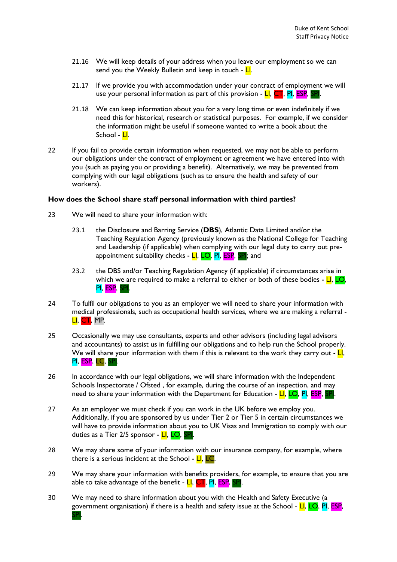- 21.16 We will keep details of your address when you leave our employment so we can send you the Weekly Bulletin and keep in touch -  $LI$ .
- 21.17 If we provide you with accommodation under your contract of employment we will use your personal information as part of this provision - **LI, CT, PI, ESP, SPI.**
- 21.18 We can keep information about you for a very long time or even indefinitely if we need this for historical, research or statistical purposes. For example, if we consider the information might be useful if someone wanted to write a book about the School - <mark>Ll</mark>.
- 22 If you fail to provide certain information when requested, we may not be able to perform our obligations under the contract of employment or agreement we have entered into with you (such as paying you or providing a benefit). Alternatively, we may be prevented from complying with our legal obligations (such as to ensure the health and safety of our workers).

#### **How does the School share staff personal information with third parties?**

- <span id="page-6-0"></span>23 We will need to share your information with:
	- 23.1 the Disclosure and Barring Service (**DBS**), Atlantic Data Limited and/or the Teaching Regulation Agency (previously known as the National College for Teaching and Leadership (if applicable) when complying with our legal duty to carry out preappointment suitability checks - LI, LO, PI, ESP, SPI; and
	- 23.2 the DBS and/or Teaching Regulation Agency (if applicable) if circumstances arise in which we are required to make a referral to either or both of these bodies -  $LI$ ,  $LO$ , PI, ESP, SPI.
- <span id="page-6-1"></span>24 To fulfil our obligations to you as an employer we will need to share your information with medical professionals, such as occupational health services, where we are making a referral - LI, CT, MP.
- 25 Occasionally we may use consultants, experts and other advisors (including legal advisors and accountants) to assist us in fulfilling our obligations and to help run the School properly. We will share your information with them if this is relevant to the work they carry out -  $\frac{L}{L}$ , PI, ESP, LC, SPI.
- 26 In accordance with our legal obligations, we will share information with the Independent Schools Inspectorate / Ofsted , for example, during the course of an inspection, and may need to share your information with the Department for Education - LI, LO, PI, ESP, SPI
- 27 As an employer we must check if you can work in the UK before we employ you. Additionally, if you are sponsored by us under Tier 2 or Tier 5 in certain circumstances we will have to provide information about you to UK Visas and Immigration to comply with our duties as a Tier 2/5 sponsor - LI, LO, SPI.
- 28 We may share some of your information with our insurance company, for example, where there is a serious incident at the School -  $LI$ ,  $LC$ .
- 29 We may share your information with benefits providers, for example, to ensure that you are able to take advantage of the benefit -  $LI$ ,  $CT$ ,  $PI$ ,  $EST$ ,
- 30 We may need to share information about you with the Health and Safety Executive (a government organisation) if there is a health and safety issue at the School - LI, LO, PI, ESP, SPI.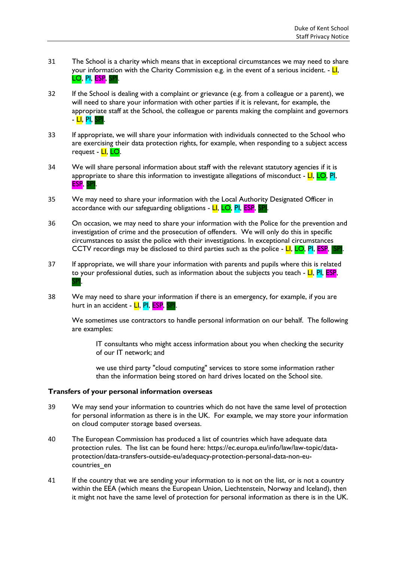- 31 The School is a charity which means that in exceptional circumstances we may need to share your information with the Charity Commission e.g. in the event of a serious incident. -  $LI$ , LO, PI, ESP, SPI.
- 32 If the School is dealing with a complaint or grievance (e.g. from a colleague or a parent), we will need to share your information with other parties if it is relevant, for example, the appropriate staff at the School, the colleague or parents making the complaint and governors - LI, PI, SPI.
- 33 If appropriate, we will share your information with individuals connected to the School who are exercising their data protection rights, for example, when responding to a subject access request - <mark>LI, LO</mark>.
- 34 We will share personal information about staff with the relevant statutory agencies if it is appropriate to share this information to investigate allegations of misconduct -  $LI$ ,  $LO$ , PI, ESP, SPI.
- 35 We may need to share your information with the Local Authority Designated Officer in accordance with our safeguarding obligations - LI, LO, PI, ESP, SF
- 36 On occasion, we may need to share your information with the Police for the prevention and investigation of crime and the prosecution of offenders. We will only do this in specific circumstances to assist the police with their investigations. In exceptional circumstances CCTV recordings may be disclosed to third parties such as the police -  $LI$ , LO, PI, ESP, SP
- 37 If appropriate, we will share your information with parents and pupils where this is related to your professional duties, such as information about the subjects you teach  $-LI$ , PI, ESP, **SPI**
- 38 We may need to share your information if there is an emergency, for example, if you are hurt in an accident - LI, PI, ESP,

We sometimes use contractors to handle personal information on our behalf. The following are examples:

IT consultants who might access information about you when checking the security of our IT network; and

we use third party "cloud computing" services to store some information rather than the information being stored on hard drives located on the School site.

#### **Transfers of your personal information overseas**

- 39 We may send your information to countries which do not have the same level of protection for personal information as there is in the UK. For example, we may store your information on cloud computer storage based overseas.
- 40 The European Commission has produced a list of countries which have adequate data protection rules. The list can be found here: https://ec.europa.eu/info/law/law-topic/dataprotection/data-transfers-outside-eu/adequacy-protection-personal-data-non-eucountries\_en
- 41 If the country that we are sending your information to is not on the list, or is not a country within the EEA (which means the European Union, Liechtenstein, Norway and Iceland), then it might not have the same level of protection for personal information as there is in the UK.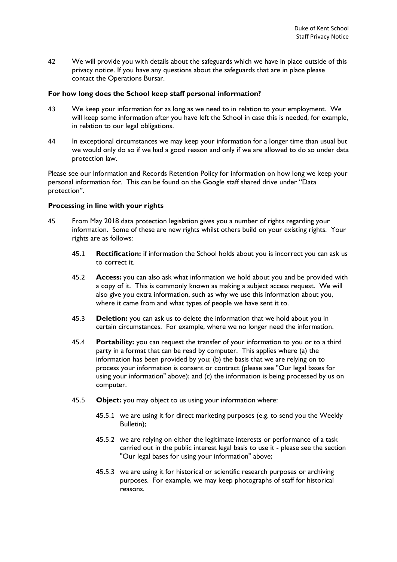42 We will provide you with details about the safeguards which we have in place outside of this privacy notice. If you have any questions about the safeguards that are in place please contact the Operations Bursar.

#### **For how long does the School keep staff personal information?**

- 43 We keep your information for as long as we need to in relation to your employment. We will keep some information after you have left the School in case this is needed, for example, in relation to our legal obligations.
- 44 In exceptional circumstances we may keep your information for a longer time than usual but we would only do so if we had a good reason and only if we are allowed to do so under data protection law.

Please see our Information and Records Retention Policy for information on how long we keep your personal information for. This can be found on the Google staff shared drive under "Data protection".

# **Processing in line with your rights**

- 45 From May 2018 data protection legislation gives you a number of rights regarding your information. Some of these are new rights whilst others build on your existing rights. Your rights are as follows:
	- 45.1 **Rectification:** if information the School holds about you is incorrect you can ask us to correct it.
	- 45.2 **Access:** you can also ask what information we hold about you and be provided with a copy of it. This is commonly known as making a subject access request. We will also give you extra information, such as why we use this information about you, where it came from and what types of people we have sent it to.
	- 45.3 **Deletion:** you can ask us to delete the information that we hold about you in certain circumstances. For example, where we no longer need the information.
	- 45.4 **Portability:** you can request the transfer of your information to you or to a third party in a format that can be read by computer. This applies where (a) the information has been provided by you; (b) the basis that we are relying on to process your information is consent or contract (please see "Our legal bases for using your information" above); and (c) the information is being processed by us on computer.
	- 45.5 **Object:** you may object to us using your information where:
		- 45.5.1 we are using it for direct marketing purposes (e.g. to send you the Weekly Bulletin);
		- 45.5.2 we are relying on either the legitimate interests or performance of a task carried out in the public interest legal basis to use it - please see the section "Our legal bases for using your information" above;
		- 45.5.3 we are using it for historical or scientific research purposes or archiving purposes. For example, we may keep photographs of staff for historical reasons.